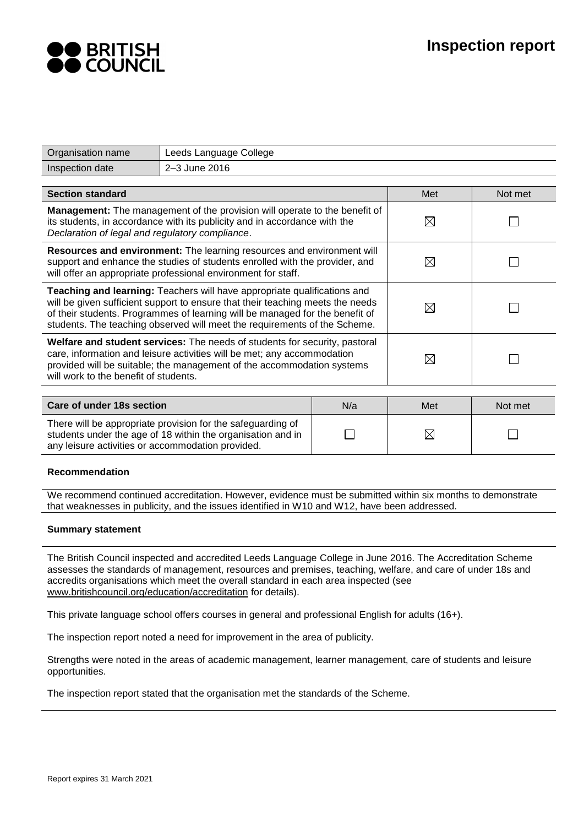

| Organisation name                                                                                                                                                                                                                                                                                                       | Leeds Language College |             |     |         |  |  |  |
|-------------------------------------------------------------------------------------------------------------------------------------------------------------------------------------------------------------------------------------------------------------------------------------------------------------------------|------------------------|-------------|-----|---------|--|--|--|
| Inspection date                                                                                                                                                                                                                                                                                                         | 2-3 June 2016          |             |     |         |  |  |  |
|                                                                                                                                                                                                                                                                                                                         |                        |             |     |         |  |  |  |
| <b>Section standard</b>                                                                                                                                                                                                                                                                                                 |                        |             | Met | Not met |  |  |  |
| Management: The management of the provision will operate to the benefit of<br>its students, in accordance with its publicity and in accordance with the<br>Declaration of legal and regulatory compliance.                                                                                                              | $\boxtimes$            |             |     |         |  |  |  |
| Resources and environment: The learning resources and environment will<br>support and enhance the studies of students enrolled with the provider, and<br>will offer an appropriate professional environment for staff.                                                                                                  | $\boxtimes$            |             |     |         |  |  |  |
| Teaching and learning: Teachers will have appropriate qualifications and<br>will be given sufficient support to ensure that their teaching meets the needs<br>of their students. Programmes of learning will be managed for the benefit of<br>students. The teaching observed will meet the requirements of the Scheme. |                        | $\boxtimes$ |     |         |  |  |  |
| <b>Welfare and student services:</b> The needs of students for security, pastoral<br>care, information and leisure activities will be met; any accommodation<br>provided will be suitable; the management of the accommodation systems<br>will work to the benefit of students.                                         |                        | $\boxtimes$ |     |         |  |  |  |
|                                                                                                                                                                                                                                                                                                                         |                        |             |     |         |  |  |  |
| Care of under 18s section<br>N/a                                                                                                                                                                                                                                                                                        |                        |             | Met | Not met |  |  |  |
| There will be appropriate provision for the safeguarding of<br>students under the age of 18 within the organisation and in<br>any leisure activities or accommodation provided.                                                                                                                                         |                        | $\boxtimes$ |     |         |  |  |  |

## **Recommendation**

We recommend continued accreditation. However, evidence must be submitted within six months to demonstrate that weaknesses in publicity, and the issues identified in W10 and W12, have been addressed.

## **Summary statement**

The British Council inspected and accredited Leeds Language College in June 2016. The Accreditation Scheme assesses the standards of management, resources and premises, teaching, welfare, and care of under 18s and accredits organisations which meet the overall standard in each area inspected (see [www.britishcouncil.org/education/accreditation](http://www.britishcouncil.org/education/accreditation) for details).

This private language school offers courses in general and professional English for adults (16+).

The inspection report noted a need for improvement in the area of publicity.

Strengths were noted in the areas of academic management, learner management, care of students and leisure opportunities.

The inspection report stated that the organisation met the standards of the Scheme.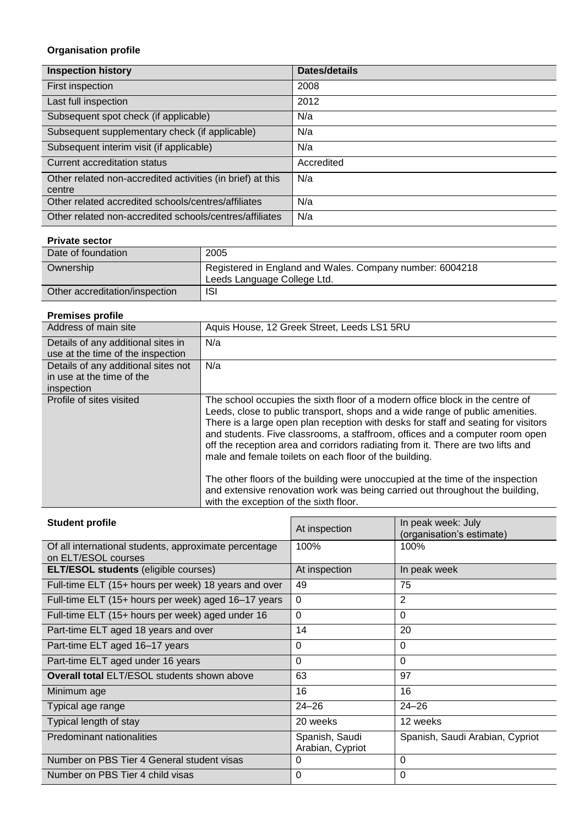# **Organisation profile**

| <b>Inspection history</b>                                            | Dates/details |
|----------------------------------------------------------------------|---------------|
| First inspection                                                     | 2008          |
| Last full inspection                                                 | 2012          |
| Subsequent spot check (if applicable)                                | N/a           |
| Subsequent supplementary check (if applicable)                       | N/a           |
| Subsequent interim visit (if applicable)                             | N/a           |
| Current accreditation status                                         | Accredited    |
| Other related non-accredited activities (in brief) at this<br>centre | N/a           |
| Other related accredited schools/centres/affiliates                  | N/a           |
| Other related non-accredited schools/centres/affiliates              | N/a           |

# **Private sector**

| Date of foundation             | 2005                                                                                    |
|--------------------------------|-----------------------------------------------------------------------------------------|
| Ownership                      | Registered in England and Wales. Company number: 6004218<br>Leeds Language College Ltd. |
| Other accreditation/inspection | ISI                                                                                     |

# **Premises profile**

| Address of main site                | Aquis House, 12 Greek Street, Leeds LS1 5RU                                                                                                                                                                                                                                                                                                                                                                                                                                       |
|-------------------------------------|-----------------------------------------------------------------------------------------------------------------------------------------------------------------------------------------------------------------------------------------------------------------------------------------------------------------------------------------------------------------------------------------------------------------------------------------------------------------------------------|
| Details of any additional sites in  | N/a                                                                                                                                                                                                                                                                                                                                                                                                                                                                               |
| use at the time of the inspection   |                                                                                                                                                                                                                                                                                                                                                                                                                                                                                   |
| Details of any additional sites not | N/a                                                                                                                                                                                                                                                                                                                                                                                                                                                                               |
| in use at the time of the           |                                                                                                                                                                                                                                                                                                                                                                                                                                                                                   |
| inspection                          |                                                                                                                                                                                                                                                                                                                                                                                                                                                                                   |
| Profile of sites visited            | The school occupies the sixth floor of a modern office block in the centre of<br>Leeds, close to public transport, shops and a wide range of public amenities.<br>There is a large open plan reception with desks for staff and seating for visitors<br>and students. Five classrooms, a staffroom, offices and a computer room open<br>off the reception area and corridors radiating from it. There are two lifts and<br>male and female toilets on each floor of the building. |
|                                     | The other floors of the building were unoccupied at the time of the inspection<br>and extensive renovation work was being carried out throughout the building,<br>with the exception of the sixth floor.                                                                                                                                                                                                                                                                          |

| <b>Student profile</b>                                                       | At inspection                      | In peak week: July<br>(organisation's estimate) |
|------------------------------------------------------------------------------|------------------------------------|-------------------------------------------------|
| Of all international students, approximate percentage<br>on ELT/ESOL courses | 100%                               | 100%                                            |
| <b>ELT/ESOL students (eligible courses)</b>                                  | At inspection                      | In peak week                                    |
| Full-time ELT (15+ hours per week) 18 years and over                         | 49                                 | 75                                              |
| Full-time ELT (15+ hours per week) aged 16-17 years                          | $\Omega$                           | 2                                               |
| Full-time ELT (15+ hours per week) aged under 16                             | $\Omega$                           | $\Omega$                                        |
| Part-time ELT aged 18 years and over                                         | 14                                 | 20                                              |
| Part-time ELT aged 16-17 years                                               | 0                                  | $\Omega$                                        |
| Part-time ELT aged under 16 years                                            | 0                                  | $\Omega$                                        |
| <b>Overall total ELT/ESOL students shown above</b>                           | 63                                 | 97                                              |
| Minimum age                                                                  | 16                                 | 16                                              |
| Typical age range                                                            | $24 - 26$                          | $24 - 26$                                       |
| Typical length of stay                                                       | 20 weeks                           | 12 weeks                                        |
| Predominant nationalities                                                    | Spanish, Saudi<br>Arabian, Cypriot | Spanish, Saudi Arabian, Cypriot                 |
| Number on PBS Tier 4 General student visas                                   | 0                                  | $\Omega$                                        |
| Number on PBS Tier 4 child visas                                             | 0                                  | $\Omega$                                        |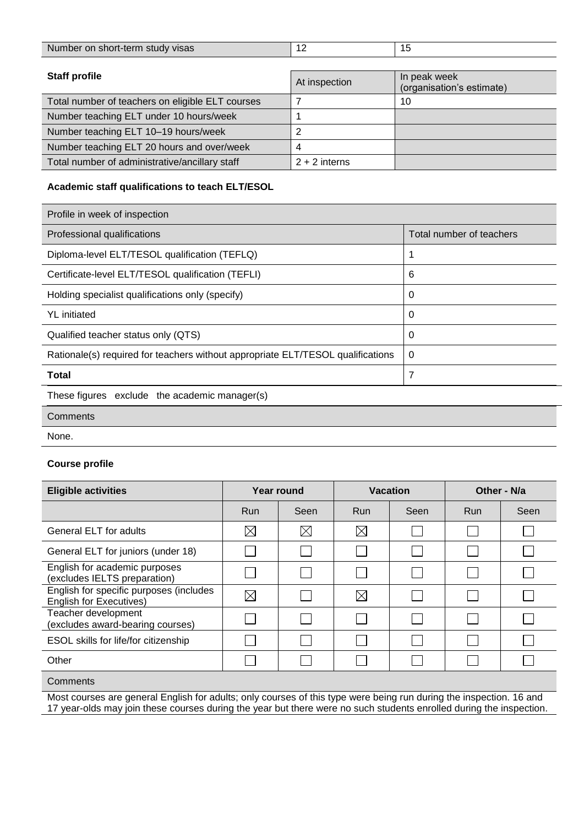| Number on short-term study visas                 | 12              | 15                                        |
|--------------------------------------------------|-----------------|-------------------------------------------|
|                                                  |                 |                                           |
| <b>Staff profile</b>                             | At inspection   | In peak week<br>(organisation's estimate) |
| Total number of teachers on eligible ELT courses |                 | 10                                        |
| Number teaching ELT under 10 hours/week          |                 |                                           |
| Number teaching ELT 10-19 hours/week             | ົ               |                                           |
| Number teaching ELT 20 hours and over/week       |                 |                                           |
| Total number of administrative/ancillary staff   | $2 + 2$ interns |                                           |

# **Academic staff qualifications to teach ELT/ESOL**

| Profile in week of inspection                                                   |                          |
|---------------------------------------------------------------------------------|--------------------------|
| Professional qualifications                                                     | Total number of teachers |
| Diploma-level ELT/TESOL qualification (TEFLQ)                                   |                          |
| Certificate-level ELT/TESOL qualification (TEFLI)                               | 6                        |
| Holding specialist qualifications only (specify)                                | 0                        |
| <b>YL</b> initiated                                                             | 0                        |
| Qualified teacher status only (QTS)                                             | 0                        |
| Rationale(s) required for teachers without appropriate ELT/TESOL qualifications | 0                        |
| Total                                                                           | 7                        |
| These figures exclude the academic manager(s)                                   |                          |
| Comments                                                                        |                          |

None.

# **Course profile**

| <b>Eligible activities</b>                                                                                          | Year round  |             | <b>Vacation</b> |              | Other - N/a |      |  |
|---------------------------------------------------------------------------------------------------------------------|-------------|-------------|-----------------|--------------|-------------|------|--|
|                                                                                                                     | Run         | Seen        | Run             | Seen         | <b>Run</b>  | Seen |  |
| General ELT for adults                                                                                              | $\boxtimes$ | $\boxtimes$ | $\boxtimes$     |              |             |      |  |
| General ELT for juniors (under 18)                                                                                  |             |             |                 |              |             |      |  |
| English for academic purposes<br>(excludes IELTS preparation)                                                       |             |             |                 | $\mathbf{L}$ |             |      |  |
| English for specific purposes (includes<br><b>English for Executives)</b>                                           | $\boxtimes$ |             | $\boxtimes$     |              |             |      |  |
| Teacher development<br>(excludes award-bearing courses)                                                             |             |             |                 |              |             |      |  |
| ESOL skills for life/for citizenship                                                                                |             |             |                 |              |             |      |  |
| Other                                                                                                               |             |             |                 |              |             |      |  |
| Comments                                                                                                            |             |             |                 |              |             |      |  |
| Most courses are general English for adults; only courses of this type were being run during the inspection. 16 and |             |             |                 |              |             |      |  |

17 year-olds may join these courses during the year but there were no such students enrolled during the inspection.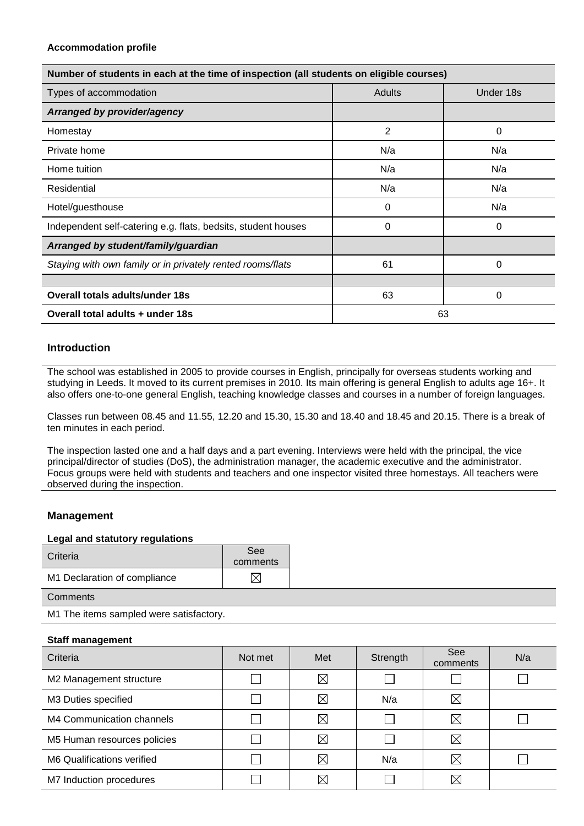| Number of students in each at the time of inspection (all students on eligible courses) |        |           |  |  |  |  |
|-----------------------------------------------------------------------------------------|--------|-----------|--|--|--|--|
| Types of accommodation                                                                  | Adults | Under 18s |  |  |  |  |
| Arranged by provider/agency                                                             |        |           |  |  |  |  |
| Homestay                                                                                | 2      | 0         |  |  |  |  |
| Private home                                                                            | N/a    | N/a       |  |  |  |  |
| Home tuition                                                                            | N/a    | N/a       |  |  |  |  |
| Residential                                                                             | N/a    | N/a       |  |  |  |  |
| Hotel/guesthouse                                                                        | 0      | N/a       |  |  |  |  |
| Independent self-catering e.g. flats, bedsits, student houses                           | 0      | 0         |  |  |  |  |
| Arranged by student/family/guardian                                                     |        |           |  |  |  |  |
| Staying with own family or in privately rented rooms/flats                              | 61     | 0         |  |  |  |  |
|                                                                                         |        |           |  |  |  |  |
| Overall totals adults/under 18s                                                         | 63     | 0         |  |  |  |  |
| Overall total adults + under 18s                                                        |        | 63        |  |  |  |  |

# **Introduction**

The school was established in 2005 to provide courses in English, principally for overseas students working and studying in Leeds. It moved to its current premises in 2010. Its main offering is general English to adults age 16+. It also offers one-to-one general English, teaching knowledge classes and courses in a number of foreign languages.

Classes run between 08.45 and 11.55, 12.20 and 15.30, 15.30 and 18.40 and 18.45 and 20.15. There is a break of ten minutes in each period.

The inspection lasted one and a half days and a part evening. Interviews were held with the principal, the vice principal/director of studies (DoS), the administration manager, the academic executive and the administrator. Focus groups were held with students and teachers and one inspector visited three homestays. All teachers were observed during the inspection.

# **Management**

## **Legal and statutory regulations**

| Criteria                     | See<br>comments |  |
|------------------------------|-----------------|--|
| M1 Declaration of compliance |                 |  |

**Comments** 

M1 The items sampled were satisfactory.

## **Staff management**

| Criteria                    | Not met | Met         | Strength | See<br>comments | N/a |
|-----------------------------|---------|-------------|----------|-----------------|-----|
| M2 Management structure     |         | $\boxtimes$ |          |                 |     |
| M3 Duties specified         |         | $\boxtimes$ | N/a      | $\boxtimes$     |     |
| M4 Communication channels   |         | $\boxtimes$ |          | $\boxtimes$     |     |
| M5 Human resources policies |         | $\boxtimes$ |          | $\boxtimes$     |     |
| M6 Qualifications verified  |         | $\boxtimes$ | N/a      | $\boxtimes$     |     |
| M7 Induction procedures     |         | $\boxtimes$ |          | $\boxtimes$     |     |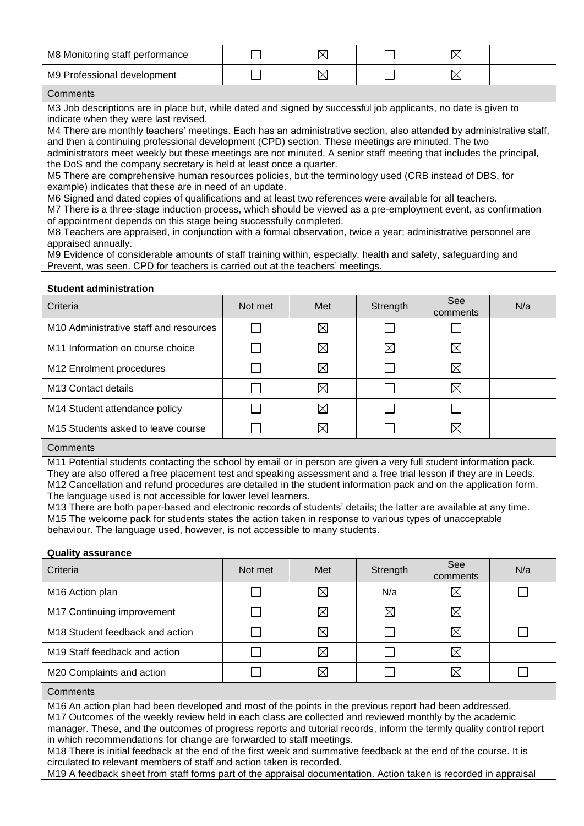| M8 Monitoring staff performance | ╭ |  |  |
|---------------------------------|---|--|--|
| M9 Professional development     | ⋉ |  |  |

### **Comments**

M3 Job descriptions are in place but, while dated and signed by successful job applicants, no date is given to indicate when they were last revised.

M4 There are monthly teachers' meetings. Each has an administrative section, also attended by administrative staff, and then a continuing professional development (CPD) section. These meetings are minuted. The two administrators meet weekly but these meetings are not minuted. A senior staff meeting that includes the principal, the DoS and the company secretary is held at least once a quarter.

M5 There are comprehensive human resources policies, but the terminology used (CRB instead of DBS, for example) indicates that these are in need of an update.

M6 Signed and dated copies of qualifications and at least two references were available for all teachers.

M7 There is a three-stage induction process, which should be viewed as a pre-employment event, as confirmation of appointment depends on this stage being successfully completed.

M8 Teachers are appraised, in conjunction with a formal observation, twice a year; administrative personnel are appraised annually.

M9 Evidence of considerable amounts of staff training within, especially, health and safety, safeguarding and Prevent, was seen. CPD for teachers is carried out at the teachers' meetings.

## **Student administration**

| Criteria                                           | Not met | Met         | Strength    | <b>See</b><br>comments | N/a |
|----------------------------------------------------|---------|-------------|-------------|------------------------|-----|
| M <sub>10</sub> Administrative staff and resources |         | $\boxtimes$ |             |                        |     |
| M11 Information on course choice                   |         | $\boxtimes$ | $\boxtimes$ | $\boxtimes$            |     |
| M12 Enrolment procedures                           |         | $\boxtimes$ |             | ⊠                      |     |
| M <sub>13</sub> Contact details                    |         | $\boxtimes$ |             | $\boxtimes$            |     |
| M14 Student attendance policy                      |         | $\boxtimes$ |             |                        |     |
| M <sub>15</sub> Students asked to leave course     |         | $\boxtimes$ |             | ⊠                      |     |

## **Comments**

M11 Potential students contacting the school by email or in person are given a very full student information pack. They are also offered a free placement test and speaking assessment and a free trial lesson if they are in Leeds. M12 Cancellation and refund procedures are detailed in the student information pack and on the application form. The language used is not accessible for lower level learners.

M13 There are both paper-based and electronic records of students' details; the latter are available at any time. M15 The welcome pack for students states the action taken in response to various types of unacceptable behaviour. The language used, however, is not accessible to many students.

## **Quality assurance**

| Criteria                                    | Not met | Met         | Strength    | See<br>comments | N/a |
|---------------------------------------------|---------|-------------|-------------|-----------------|-----|
| M16 Action plan                             |         | $\boxtimes$ | N/a         | $\boxtimes$     |     |
| M17 Continuing improvement                  |         | $\boxtimes$ | $\boxtimes$ | $\boxtimes$     |     |
| M <sub>18</sub> Student feedback and action |         | $\boxtimes$ |             | $\boxtimes$     |     |
| M <sub>19</sub> Staff feedback and action   |         | $\boxtimes$ |             | $\boxtimes$     |     |
| M20 Complaints and action                   |         | X           |             | $\boxtimes$     |     |

## **Comments**

M16 An action plan had been developed and most of the points in the previous report had been addressed. M17 Outcomes of the weekly review held in each class are collected and reviewed monthly by the academic manager. These, and the outcomes of progress reports and tutorial records, inform the termly quality control report in which recommendations for change are forwarded to staff meetings.

M18 There is initial feedback at the end of the first week and summative feedback at the end of the course. It is circulated to relevant members of staff and action taken is recorded.

M19 A feedback sheet from staff forms part of the appraisal documentation. Action taken is recorded in appraisal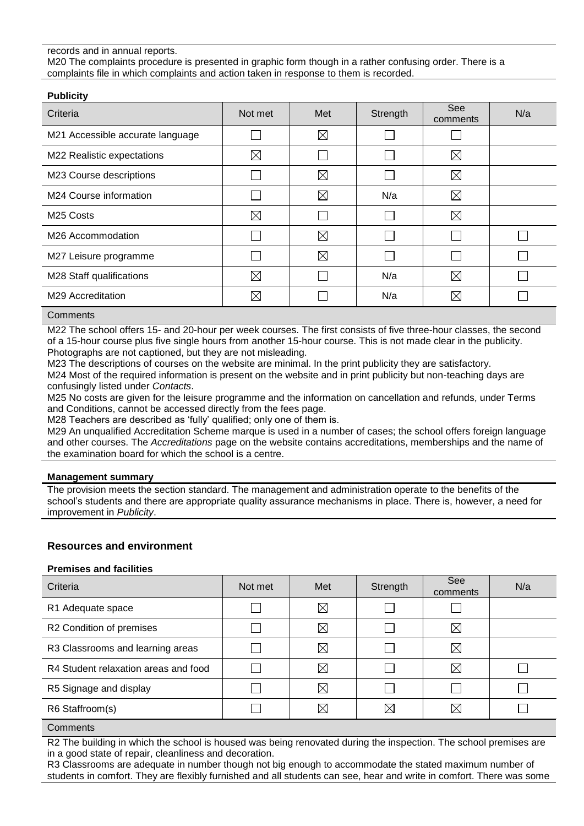## records and in annual reports.

M20 The complaints procedure is presented in graphic form though in a rather confusing order. There is a complaints file in which complaints and action taken in response to them is recorded.

| <b>Publicity</b>                 |             |             |          |                 |     |
|----------------------------------|-------------|-------------|----------|-----------------|-----|
| Criteria                         | Not met     | Met         | Strength | See<br>comments | N/a |
| M21 Accessible accurate language |             | $\boxtimes$ |          |                 |     |
| M22 Realistic expectations       | $\boxtimes$ |             |          | $\boxtimes$     |     |
| M23 Course descriptions          |             | $\boxtimes$ |          | ⊠               |     |
| M24 Course information           |             | $\boxtimes$ | N/a      | $\boxtimes$     |     |
| M <sub>25</sub> Costs            | $\boxtimes$ |             |          | ⊠               |     |
| M <sub>26</sub> Accommodation    |             | $\boxtimes$ |          |                 |     |
| M27 Leisure programme            |             | $\boxtimes$ |          |                 |     |
| M28 Staff qualifications         | $\boxtimes$ |             | N/a      | ⊠               |     |
| M29 Accreditation                | $\boxtimes$ |             | N/a      | $\boxtimes$     |     |

**Comments** 

M22 The school offers 15- and 20-hour per week courses. The first consists of five three-hour classes, the second of a 15-hour course plus five single hours from another 15-hour course. This is not made clear in the publicity. Photographs are not captioned, but they are not misleading.

M23 The descriptions of courses on the website are minimal. In the print publicity they are satisfactory. M24 Most of the required information is present on the website and in print publicity but non-teaching days are

confusingly listed under *Contacts*. M25 No costs are given for the leisure programme and the information on cancellation and refunds, under Terms

and Conditions, cannot be accessed directly from the fees page. M28 Teachers are described as 'fully' qualified; only one of them is.

M29 An unqualified Accreditation Scheme marque is used in a number of cases; the school offers foreign language and other courses. The *Accreditations* page on the website contains accreditations, memberships and the name of the examination board for which the school is a centre.

## **Management summary**

The provision meets the section standard. The management and administration operate to the benefits of the school's students and there are appropriate quality assurance mechanisms in place. There is, however, a need for improvement in *Publicity*.

# **Resources and environment**

## **Premises and facilities**

| Criteria                             | Not met | Met         | Strength    | See<br>comments | N/a |
|--------------------------------------|---------|-------------|-------------|-----------------|-----|
| R1 Adequate space                    |         | $\boxtimes$ |             |                 |     |
| R2 Condition of premises             |         | $\boxtimes$ |             | ⊠               |     |
| R3 Classrooms and learning areas     |         | $\boxtimes$ |             | $\boxtimes$     |     |
| R4 Student relaxation areas and food |         | $\boxtimes$ |             | $\boxtimes$     |     |
| R5 Signage and display               |         | $\boxtimes$ |             |                 |     |
| R6 Staffroom(s)                      |         | $\bowtie$   | $\boxtimes$ | $\boxtimes$     |     |

**Comments** 

R2 The building in which the school is housed was being renovated during the inspection. The school premises are in a good state of repair, cleanliness and decoration.

R3 Classrooms are adequate in number though not big enough to accommodate the stated maximum number of students in comfort. They are flexibly furnished and all students can see, hear and write in comfort. There was some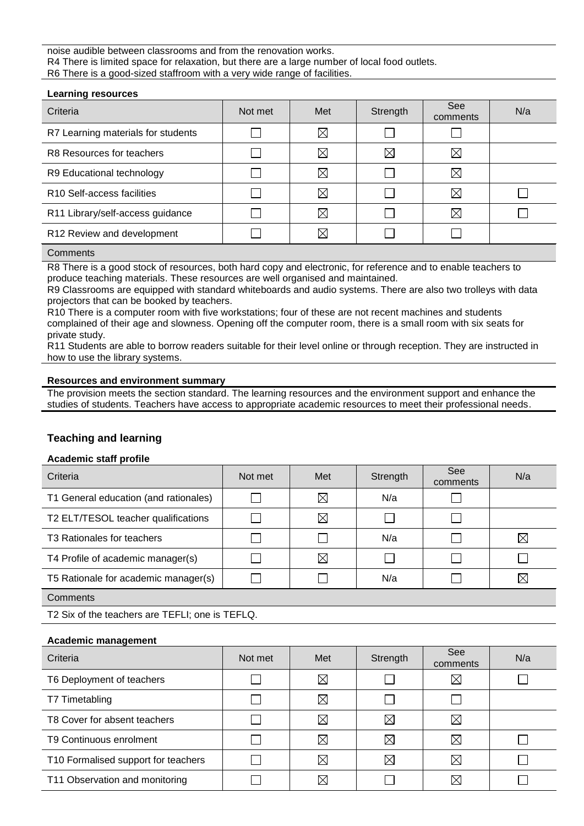## noise audible between classrooms and from the renovation works. R4 There is limited space for relaxation, but there are a large number of local food outlets. R6 There is a good-sized staffroom with a very wide range of facilities.

| <b>Learning resources</b>              |         |             |             |                        |     |
|----------------------------------------|---------|-------------|-------------|------------------------|-----|
| Criteria                               | Not met | Met         | Strength    | <b>See</b><br>comments | N/a |
| R7 Learning materials for students     |         | $\boxtimes$ |             |                        |     |
| R8 Resources for teachers              |         | $\boxtimes$ | $\boxtimes$ | ⊠                      |     |
| R9 Educational technology              |         | $\boxtimes$ |             | $\boxtimes$            |     |
| R <sub>10</sub> Self-access facilities |         | $\boxtimes$ |             | ⊠                      |     |
| R11 Library/self-access guidance       |         | $\boxtimes$ |             | ⊠                      |     |
| R12 Review and development             |         | $\boxtimes$ |             |                        |     |
|                                        |         |             |             |                        |     |

# **Comments**

R8 There is a good stock of resources, both hard copy and electronic, for reference and to enable teachers to produce teaching materials. These resources are well organised and maintained.

R9 Classrooms are equipped with standard whiteboards and audio systems. There are also two trolleys with data projectors that can be booked by teachers.

R10 There is a computer room with five workstations; four of these are not recent machines and students complained of their age and slowness. Opening off the computer room, there is a small room with six seats for private study.

R11 Students are able to borrow readers suitable for their level online or through reception. They are instructed in how to use the library systems.

## **Resources and environment summary**

The provision meets the section standard. The learning resources and the environment support and enhance the studies of students. Teachers have access to appropriate academic resources to meet their professional needs.

# **Teaching and learning**

## **Academic staff profile**

| Criteria                               | Not met | Met         | Strength | See<br>comments | N/a         |
|----------------------------------------|---------|-------------|----------|-----------------|-------------|
| T1 General education (and rationales)  |         | $\boxtimes$ | N/a      |                 |             |
| T2 ELT/TESOL teacher qualifications    |         | $\boxtimes$ |          |                 |             |
| T <sub>3</sub> Rationales for teachers |         |             | N/a      |                 | $\boxtimes$ |
| T4 Profile of academic manager(s)      |         | $\boxtimes$ |          |                 |             |
| T5 Rationale for academic manager(s)   |         |             | N/a      |                 | $\boxtimes$ |
| Comments                               |         |             |          |                 |             |

T2 Six of the teachers are TEFLI; one is TEFLQ.

## **Academic management**

| Criteria                            | Not met | Met         | Strength    | See<br>comments | N/a |
|-------------------------------------|---------|-------------|-------------|-----------------|-----|
| T6 Deployment of teachers           |         | $\boxtimes$ |             | $\boxtimes$     |     |
| T7 Timetabling                      |         | $\boxtimes$ |             |                 |     |
| T8 Cover for absent teachers        |         | $\boxtimes$ | $\boxtimes$ | $\boxtimes$     |     |
| T9 Continuous enrolment             |         | $\boxtimes$ | $\boxtimes$ | $\boxtimes$     |     |
| T10 Formalised support for teachers |         | $\bowtie$   | $\boxtimes$ | $\boxtimes$     |     |
| T11 Observation and monitoring      |         | ⋉           |             | $\boxtimes$     |     |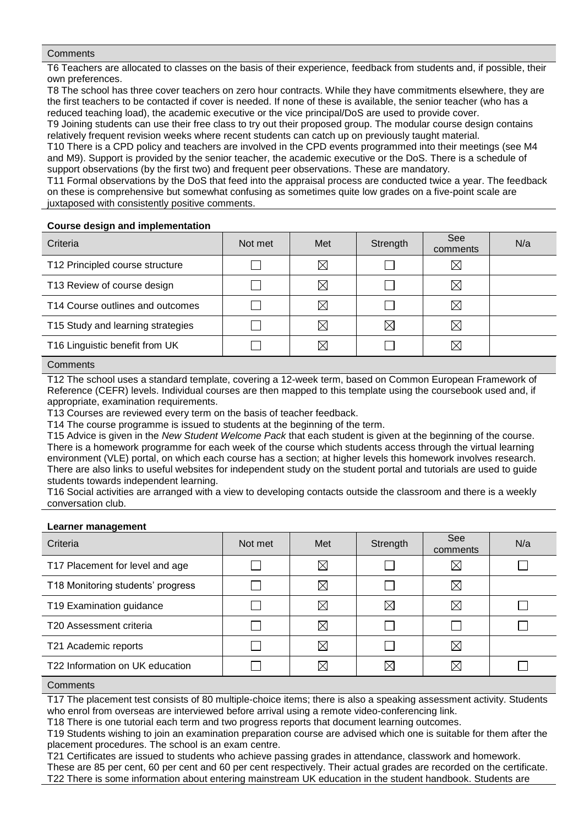## **Comments**

T6 Teachers are allocated to classes on the basis of their experience, feedback from students and, if possible, their own preferences.

T8 The school has three cover teachers on zero hour contracts. While they have commitments elsewhere, they are the first teachers to be contacted if cover is needed. If none of these is available, the senior teacher (who has a reduced teaching load), the academic executive or the vice principal/DoS are used to provide cover.

T9 Joining students can use their free class to try out their proposed group. The modular course design contains relatively frequent revision weeks where recent students can catch up on previously taught material.

T10 There is a CPD policy and teachers are involved in the CPD events programmed into their meetings (see M4 and M9). Support is provided by the senior teacher, the academic executive or the DoS. There is a schedule of support observations (by the first two) and frequent peer observations. These are mandatory.

T11 Formal observations by the DoS that feed into the appraisal process are conducted twice a year. The feedback on these is comprehensive but somewhat confusing as sometimes quite low grades on a five-point scale are juxtaposed with consistently positive comments.

## **Course design and implementation**

| Criteria                          | Not met | Met         | Strength    | See<br>comments | N/a |
|-----------------------------------|---------|-------------|-------------|-----------------|-----|
| T12 Principled course structure   |         | $\boxtimes$ |             | $\boxtimes$     |     |
| T13 Review of course design       |         | $\boxtimes$ |             | $\boxtimes$     |     |
| T14 Course outlines and outcomes  |         | $\boxtimes$ |             | $\boxtimes$     |     |
| T15 Study and learning strategies |         | $\boxtimes$ | $\boxtimes$ | $\boxtimes$     |     |
| T16 Linguistic benefit from UK    |         | $\boxtimes$ |             | $\boxtimes$     |     |

## **Comments**

T12 The school uses a standard template, covering a 12-week term, based on Common European Framework of Reference (CEFR) levels. Individual courses are then mapped to this template using the coursebook used and, if appropriate, examination requirements.

T13 Courses are reviewed every term on the basis of teacher feedback.

T14 The course programme is issued to students at the beginning of the term.

T15 Advice is given in the *New Student Welcome Pack* that each student is given at the beginning of the course. There is a homework programme for each week of the course which students access through the virtual learning environment (VLE) portal, on which each course has a section; at higher levels this homework involves research. There are also links to useful websites for independent study on the student portal and tutorials are used to guide students towards independent learning.

T16 Social activities are arranged with a view to developing contacts outside the classroom and there is a weekly conversation club.

#### **Learner management**

| $-50$                             |         |             |             |                        |     |
|-----------------------------------|---------|-------------|-------------|------------------------|-----|
| Criteria                          | Not met | Met         | Strength    | <b>See</b><br>comments | N/a |
| T17 Placement for level and age   |         | $\boxtimes$ |             | $\boxtimes$            |     |
| T18 Monitoring students' progress |         | $\boxtimes$ |             | ⊠                      |     |
| T19 Examination guidance          |         | $\boxtimes$ | $\boxtimes$ | $\boxtimes$            |     |
| T20 Assessment criteria           |         | $\boxtimes$ |             |                        |     |
| T21 Academic reports              |         | $\boxtimes$ |             | $\boxtimes$            |     |
| T22 Information on UK education   |         | $\boxtimes$ | $\boxtimes$ | $\boxtimes$            |     |
|                                   |         |             |             |                        |     |

#### **Comments**

T17 The placement test consists of 80 multiple-choice items; there is also a speaking assessment activity. Students who enrol from overseas are interviewed before arrival using a remote video-conferencing link.

T18 There is one tutorial each term and two progress reports that document learning outcomes.

T19 Students wishing to join an examination preparation course are advised which one is suitable for them after the placement procedures. The school is an exam centre.

T21 Certificates are issued to students who achieve passing grades in attendance, classwork and homework. These are 85 per cent, 60 per cent and 60 per cent respectively. Their actual grades are recorded on the certificate. T22 There is some information about entering mainstream UK education in the student handbook. Students are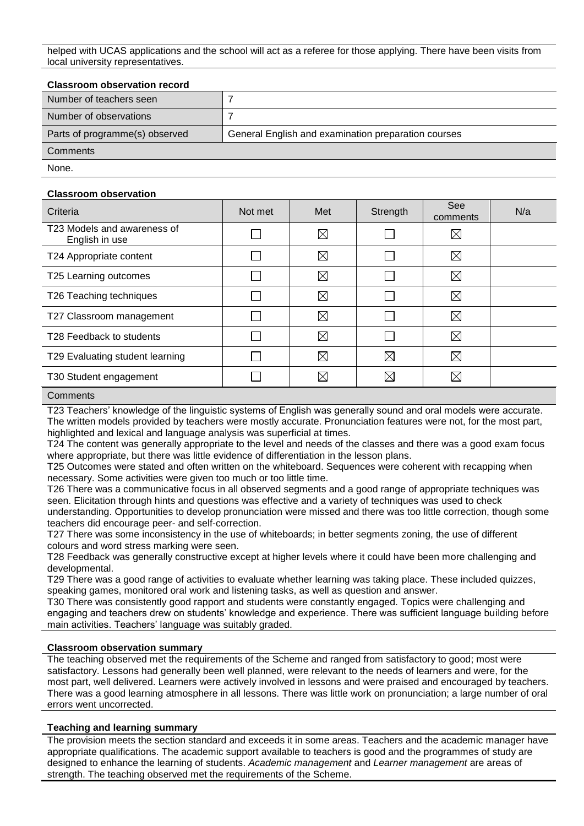helped with UCAS applications and the school will act as a referee for those applying. There have been visits from local university representatives.

## **Classroom observation record**

| Number of teachers seen        |                                                     |
|--------------------------------|-----------------------------------------------------|
| Number of observations         |                                                     |
| Parts of programme(s) observed | General English and examination preparation courses |
| Comments                       |                                                     |
| None.                          |                                                     |

### **Classroom observation**

| Criteria                                      | Not met | Met         | Strength    | See<br>comments | N/a |
|-----------------------------------------------|---------|-------------|-------------|-----------------|-----|
| T23 Models and awareness of<br>English in use |         | $\boxtimes$ |             | ⊠               |     |
| T24 Appropriate content                       |         | $\boxtimes$ |             | ⊠               |     |
| T25 Learning outcomes                         |         | ⊠           |             | $\boxtimes$     |     |
| T26 Teaching techniques                       |         | $\boxtimes$ |             | ⊠               |     |
| T27 Classroom management                      |         | $\boxtimes$ |             | ⊠               |     |
| T28 Feedback to students                      |         | $\boxtimes$ |             | ⊠               |     |
| T29 Evaluating student learning               |         | $\boxtimes$ | $\boxtimes$ | ⊠               |     |
| T30 Student engagement                        |         | $\boxtimes$ | $\boxtimes$ | $\boxtimes$     |     |
|                                               |         |             |             |                 |     |

#### **Comments**

T23 Teachers' knowledge of the linguistic systems of English was generally sound and oral models were accurate. The written models provided by teachers were mostly accurate. Pronunciation features were not, for the most part, highlighted and lexical and language analysis was superficial at times.

T24 The content was generally appropriate to the level and needs of the classes and there was a good exam focus where appropriate, but there was little evidence of differentiation in the lesson plans.

T25 Outcomes were stated and often written on the whiteboard. Sequences were coherent with recapping when necessary. Some activities were given too much or too little time.

T26 There was a communicative focus in all observed segments and a good range of appropriate techniques was seen. Elicitation through hints and questions was effective and a variety of techniques was used to check understanding. Opportunities to develop pronunciation were missed and there was too little correction, though some teachers did encourage peer- and self-correction.

T27 There was some inconsistency in the use of whiteboards; in better segments zoning, the use of different colours and word stress marking were seen.

T28 Feedback was generally constructive except at higher levels where it could have been more challenging and developmental.

T29 There was a good range of activities to evaluate whether learning was taking place. These included quizzes, speaking games, monitored oral work and listening tasks, as well as question and answer.

T30 There was consistently good rapport and students were constantly engaged. Topics were challenging and engaging and teachers drew on students' knowledge and experience. There was sufficient language building before main activities. Teachers' language was suitably graded.

#### **Classroom observation summary**

The teaching observed met the requirements of the Scheme and ranged from satisfactory to good; most were satisfactory. Lessons had generally been well planned, were relevant to the needs of learners and were, for the most part, well delivered. Learners were actively involved in lessons and were praised and encouraged by teachers. There was a good learning atmosphere in all lessons. There was little work on pronunciation; a large number of oral errors went uncorrected.

## **Teaching and learning summary**

The provision meets the section standard and exceeds it in some areas. Teachers and the academic manager have appropriate qualifications. The academic support available to teachers is good and the programmes of study are designed to enhance the learning of students. *Academic management* and *Learner management* are areas of strength. The teaching observed met the requirements of the Scheme.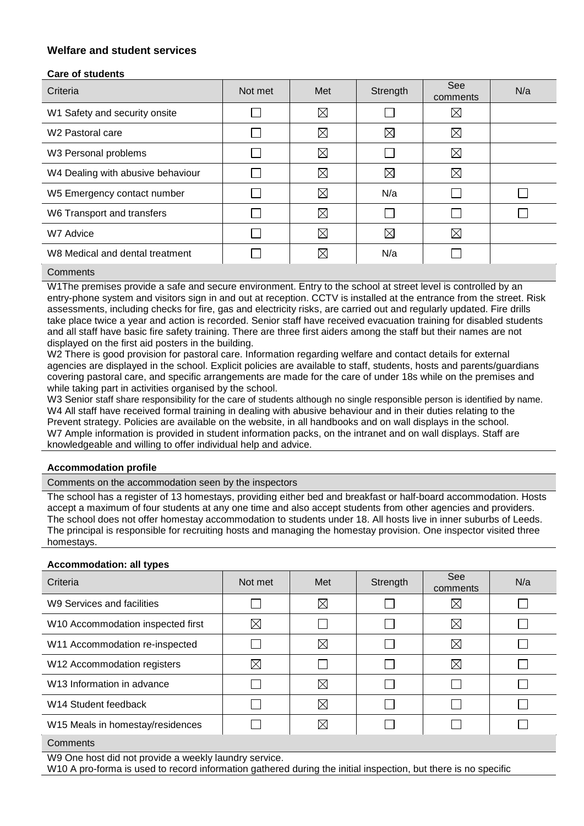# **Welfare and student services**

# **Care of students**

| Criteria                          | Not met | Met         | Strength    | See<br>comments | N/a |
|-----------------------------------|---------|-------------|-------------|-----------------|-----|
| W1 Safety and security onsite     |         | $\boxtimes$ |             | ⊠               |     |
| W <sub>2</sub> Pastoral care      |         | $\boxtimes$ | $\boxtimes$ | ⊠               |     |
| W3 Personal problems              |         | $\boxtimes$ |             | ⊠               |     |
| W4 Dealing with abusive behaviour |         | $\boxtimes$ | $\boxtimes$ | $\boxtimes$     |     |
| W5 Emergency contact number       |         | $\boxtimes$ | N/a         |                 |     |
| W6 Transport and transfers        |         | $\boxtimes$ |             |                 |     |
| W7 Advice                         |         | $\boxtimes$ | $\boxtimes$ | $\boxtimes$     |     |
| W8 Medical and dental treatment   |         | $\boxtimes$ | N/a         |                 |     |
|                                   |         |             |             |                 |     |

## **Comments**

W1The premises provide a safe and secure environment. Entry to the school at street level is controlled by an entry-phone system and visitors sign in and out at reception. CCTV is installed at the entrance from the street. Risk assessments, including checks for fire, gas and electricity risks, are carried out and regularly updated. Fire drills take place twice a year and action is recorded. Senior staff have received evacuation training for disabled students and all staff have basic fire safety training. There are three first aiders among the staff but their names are not displayed on the first aid posters in the building.

W2 There is good provision for pastoral care. Information regarding welfare and contact details for external agencies are displayed in the school. Explicit policies are available to staff, students, hosts and parents/guardians covering pastoral care, and specific arrangements are made for the care of under 18s while on the premises and while taking part in activities organised by the school.

W3 Senior staff share responsibility for the care of students although no single responsible person is identified by name. W4 All staff have received formal training in dealing with abusive behaviour and in their duties relating to the Prevent strategy. Policies are available on the website, in all handbooks and on wall displays in the school. W7 Ample information is provided in student information packs, on the intranet and on wall displays. Staff are knowledgeable and willing to offer individual help and advice.

## **Accommodation profile**

Comments on the accommodation seen by the inspectors

The school has a register of 13 homestays, providing either bed and breakfast or half-board accommodation. Hosts accept a maximum of four students at any one time and also accept students from other agencies and providers. The school does not offer homestay accommodation to students under 18. All hosts live in inner suburbs of Leeds. The principal is responsible for recruiting hosts and managing the homestay provision. One inspector visited three homestays.

## **Accommodation: all types**

| Not met     | Met         | Strength | <b>See</b><br>comments | N/a |
|-------------|-------------|----------|------------------------|-----|
|             | $\boxtimes$ |          | $\boxtimes$            |     |
| $\boxtimes$ |             |          | $\boxtimes$            |     |
|             | $\boxtimes$ |          | $\boxtimes$            |     |
| $\boxtimes$ |             |          | ⊠                      |     |
|             | $\boxtimes$ |          |                        |     |
|             | $\boxtimes$ |          |                        |     |
|             | $\boxtimes$ |          |                        |     |
|             |             |          |                        |     |

## **Comments**

W9 One host did not provide a weekly laundry service.

W10 A pro-forma is used to record information gathered during the initial inspection, but there is no specific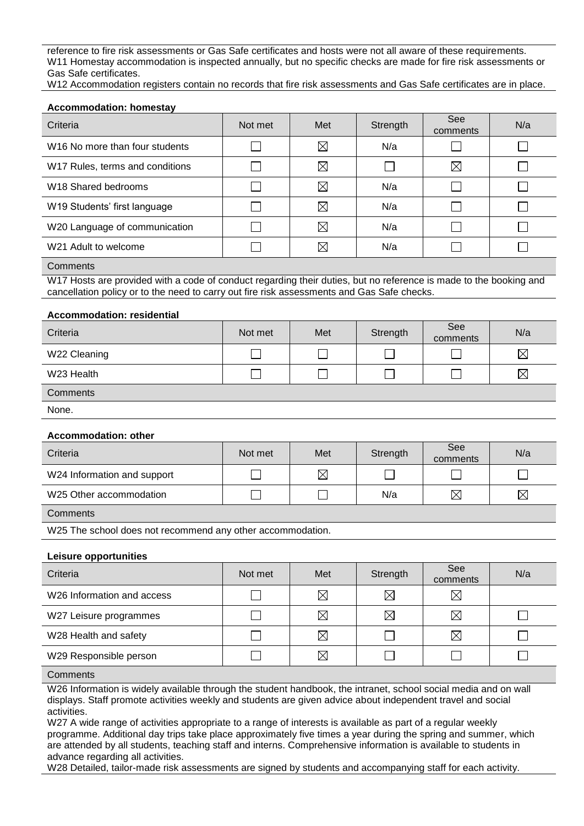reference to fire risk assessments or Gas Safe certificates and hosts were not all aware of these requirements. W11 Homestay accommodation is inspected annually, but no specific checks are made for fire risk assessments or Gas Safe certificates.

W12 Accommodation registers contain no records that fire risk assessments and Gas Safe certificates are in place.

## **Accommodation: homestay**

| Criteria                                   | Not met | Met         | Strength | See<br>comments | N/a |
|--------------------------------------------|---------|-------------|----------|-----------------|-----|
| W <sub>16</sub> No more than four students |         | $\boxtimes$ | N/a      |                 |     |
| W17 Rules, terms and conditions            |         | $\boxtimes$ |          | $\boxtimes$     |     |
| W <sub>18</sub> Shared bedrooms            |         | $\boxtimes$ | N/a      |                 |     |
| W19 Students' first language               |         | $\boxtimes$ | N/a      |                 |     |
| W20 Language of communication              |         | $\boxtimes$ | N/a      |                 |     |
| W21 Adult to welcome                       |         | $\boxtimes$ | N/a      |                 |     |

## **Comments**

W17 Hosts are provided with a code of conduct regarding their duties, but no reference is made to the booking and cancellation policy or to the need to carry out fire risk assessments and Gas Safe checks.

#### **Accommodation: residential**

| Criteria     | Not met | Met | Strength | See<br>comments | N/a         |
|--------------|---------|-----|----------|-----------------|-------------|
| W22 Cleaning |         |     |          |                 | $\boxtimes$ |
| W23 Health   |         |     |          |                 | $\boxtimes$ |
| Comments     |         |     |          |                 |             |
| None.        |         |     |          |                 |             |

#### **Accommodation: other**

| Criteria                    | Not met | Met         | Strength | See<br>comments | N/a         |
|-----------------------------|---------|-------------|----------|-----------------|-------------|
| W24 Information and support |         | $\boxtimes$ |          |                 |             |
| W25 Other accommodation     |         |             | N/a      | $\boxtimes$     | $\boxtimes$ |
|                             |         |             |          |                 |             |

# **Comments**

W25 The school does not recommend any other accommodation.

#### **Leisure opportunities**

| Criteria                               | Not met | Met         | Strength    | See<br>comments | N/a |
|----------------------------------------|---------|-------------|-------------|-----------------|-----|
| W <sub>26</sub> Information and access |         | $\boxtimes$ | $\boxtimes$ | $\boxtimes$     |     |
| W27 Leisure programmes                 |         | $\boxtimes$ | $\boxtimes$ | ⊠               |     |
| W28 Health and safety                  |         | $\boxtimes$ |             | ⊠               |     |
| W29 Responsible person                 |         | $\boxtimes$ |             |                 |     |

## **Comments**

W26 Information is widely available through the student handbook, the intranet, school social media and on wall displays. Staff promote activities weekly and students are given advice about independent travel and social activities.

W27 A wide range of activities appropriate to a range of interests is available as part of a regular weekly programme. Additional day trips take place approximately five times a year during the spring and summer, which are attended by all students, teaching staff and interns. Comprehensive information is available to students in advance regarding all activities.

W28 Detailed, tailor-made risk assessments are signed by students and accompanying staff for each activity.